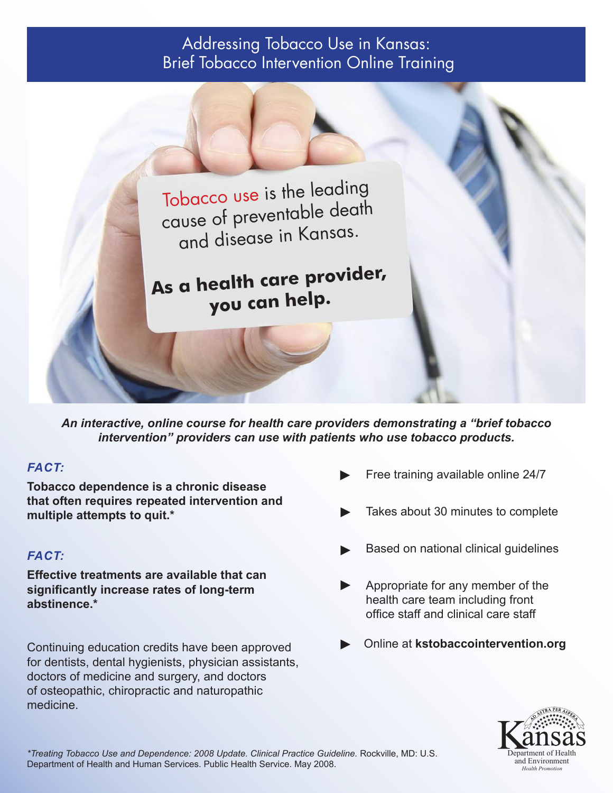## Addressing Tobacco Use in Kansas: Brief Tobacco Intervention Online Training



*An interactive, online course for health care providers demonstrating a "brief tobacco intervention" providers can use with patients who use tobacco products.*

## *FACT:*

**Tobacco dependence is a chronic disease that often requires repeated intervention and multiple attempts to quit.\*** 

## *FACT:*

**Effective treatments are available that can significantly increase rates of long-term abstinence.\***

Continuing education credits have been approved for dentists, dental hygienists, physician assistants, doctors of medicine and surgery, and doctors of osteopathic, chiropractic and naturopathic medicine.

- Free training available online 24/7 ►
- Takes about 30 minutes to complete ►
- Based on national clinical guidelines ►
- Appropriate for any member of the health care team including front office staff and clinical care staff ►
- ► Online at **kstobaccointervention.org**